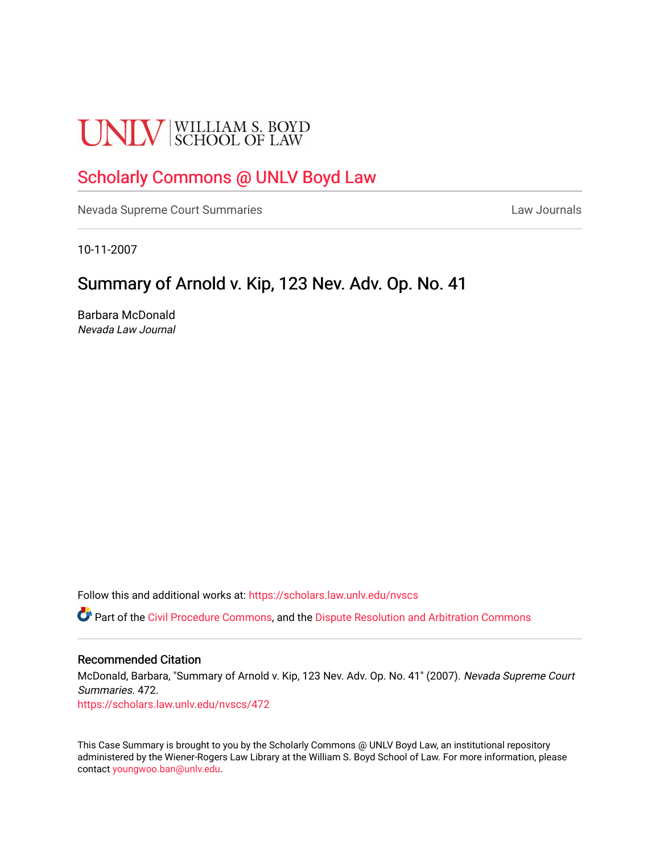# **UNLV** SCHOOL OF LAW

## [Scholarly Commons @ UNLV Boyd Law](https://scholars.law.unlv.edu/)

[Nevada Supreme Court Summaries](https://scholars.law.unlv.edu/nvscs) **Law Journals** Law Journals

10-11-2007

# Summary of Arnold v. Kip, 123 Nev. Adv. Op. No. 41

Barbara McDonald Nevada Law Journal

Follow this and additional works at: [https://scholars.law.unlv.edu/nvscs](https://scholars.law.unlv.edu/nvscs?utm_source=scholars.law.unlv.edu%2Fnvscs%2F472&utm_medium=PDF&utm_campaign=PDFCoverPages)

**C** Part of the [Civil Procedure Commons,](http://network.bepress.com/hgg/discipline/584?utm_source=scholars.law.unlv.edu%2Fnvscs%2F472&utm_medium=PDF&utm_campaign=PDFCoverPages) and the Dispute Resolution and Arbitration Commons

#### Recommended Citation

McDonald, Barbara, "Summary of Arnold v. Kip, 123 Nev. Adv. Op. No. 41" (2007). Nevada Supreme Court Summaries. 472.

[https://scholars.law.unlv.edu/nvscs/472](https://scholars.law.unlv.edu/nvscs/472?utm_source=scholars.law.unlv.edu%2Fnvscs%2F472&utm_medium=PDF&utm_campaign=PDFCoverPages)

This Case Summary is brought to you by the Scholarly Commons @ UNLV Boyd Law, an institutional repository administered by the Wiener-Rogers Law Library at the William S. Boyd School of Law. For more information, please contact [youngwoo.ban@unlv.edu](mailto:youngwoo.ban@unlv.edu).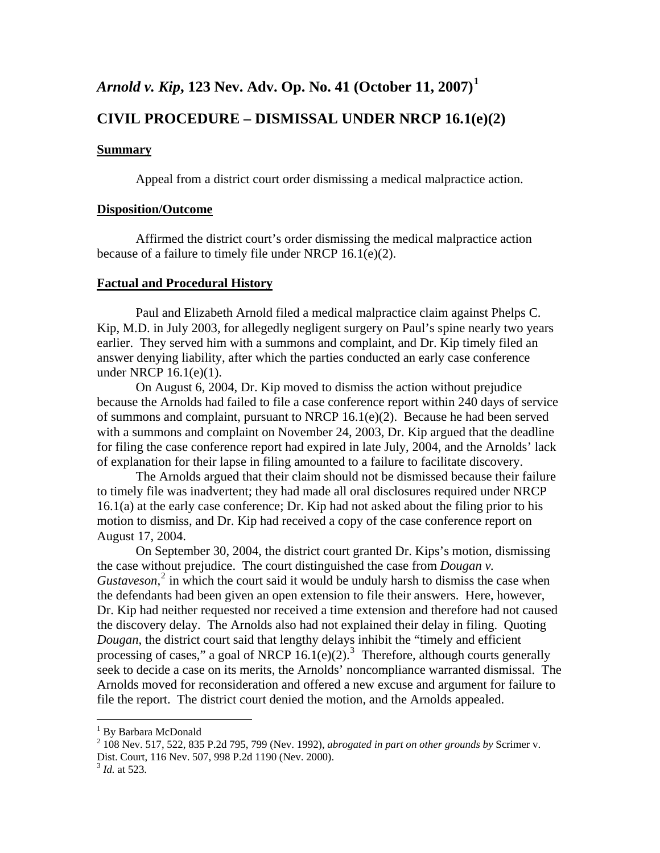## *Arnold v. Kip***, 123 Nev. Adv. Op. No. 41 (October 11, 2007)[1](#page-1-0)**

### **CIVIL PROCEDURE – DISMISSAL UNDER NRCP 16.1(e)(2)**

#### **Summary**

Appeal from a district court order dismissing a medical malpractice action.

#### **Disposition/Outcome**

 Affirmed the district court's order dismissing the medical malpractice action because of a failure to timely file under NRCP 16.1(e)(2).

#### **Factual and Procedural History**

 Paul and Elizabeth Arnold filed a medical malpractice claim against Phelps C. Kip, M.D. in July 2003, for allegedly negligent surgery on Paul's spine nearly two years earlier. They served him with a summons and complaint, and Dr. Kip timely filed an answer denying liability, after which the parties conducted an early case conference under NRCP 16.1(e)(1).

 On August 6, 2004, Dr. Kip moved to dismiss the action without prejudice because the Arnolds had failed to file a case conference report within 240 days of service of summons and complaint, pursuant to NRCP 16.1(e)(2). Because he had been served with a summons and complaint on November 24, 2003, Dr. Kip argued that the deadline for filing the case conference report had expired in late July, 2004, and the Arnolds' lack of explanation for their lapse in filing amounted to a failure to facilitate discovery.

 The Arnolds argued that their claim should not be dismissed because their failure to timely file was inadvertent; they had made all oral disclosures required under NRCP 16.1(a) at the early case conference; Dr. Kip had not asked about the filing prior to his motion to dismiss, and Dr. Kip had received a copy of the case conference report on August 17, 2004.

 On September 30, 2004, the district court granted Dr. Kips's motion, dismissing the case without prejudice. The court distinguished the case from *Dougan v.*  Gustaveson,<sup>[2](#page-1-1)</sup> in which the court said it would be unduly harsh to dismiss the case when the defendants had been given an open extension to file their answers. Here, however, Dr. Kip had neither requested nor received a time extension and therefore had not caused the discovery delay. The Arnolds also had not explained their delay in filing. Quoting *Dougan*, the district court said that lengthy delays inhibit the "timely and efficient processing of cases," a goal of NRCP  $16.1(e)(2)$ .<sup>[3](#page-1-2)</sup> Therefore, although courts generally seek to decide a case on its merits, the Arnolds' noncompliance warranted dismissal. The Arnolds moved for reconsideration and offered a new excuse and argument for failure to file the report. The district court denied the motion, and the Arnolds appealed.

 1 By Barbara McDonald

<span id="page-1-1"></span><span id="page-1-0"></span><sup>2</sup> 108 Nev. 517, 522, 835 P.2d 795, 799 (Nev. 1992), *abrogated in part on other grounds by* Scrimer v. Dist. Court, 116 Nev. 507, 998 P.2d 1190 (Nev. 2000).

<span id="page-1-2"></span><sup>3</sup> *Id.* at 523.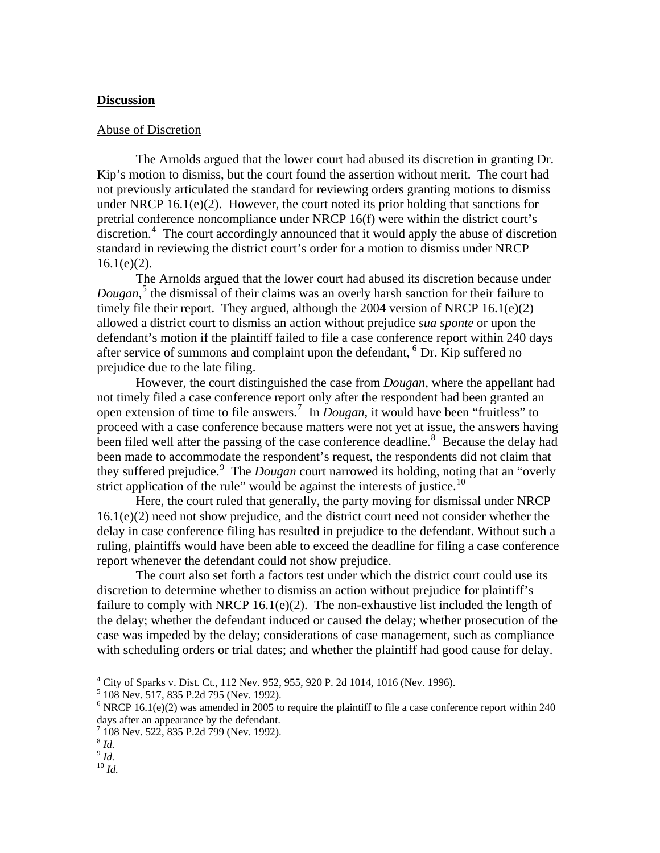#### **Discussion**

#### Abuse of Discretion

 The Arnolds argued that the lower court had abused its discretion in granting Dr. Kip's motion to dismiss, but the court found the assertion without merit. The court had not previously articulated the standard for reviewing orders granting motions to dismiss under NRCP 16.1(e)(2). However, the court noted its prior holding that sanctions for pretrial conference noncompliance under NRCP 16(f) were within the district court's discretion.<sup>[4](#page-2-0)</sup> The court accordingly announced that it would apply the abuse of discretion standard in reviewing the district court's order for a motion to dismiss under NRCP  $16.1(e)(2)$ .

 The Arnolds argued that the lower court had abused its discretion because under *Dougan*, [5](#page-2-1) the dismissal of their claims was an overly harsh sanction for their failure to timely file their report. They argued, although the 2004 version of NRCP 16.1(e)(2) allowed a district court to dismiss an action without prejudice *sua sponte* or upon the defendant's motion if the plaintiff failed to file a case conference report within 240 days after service of summons and complaint upon the defendant, <sup>[6](#page-2-2)</sup> Dr. Kip suffered no prejudice due to the late filing.

 However, the court distinguished the case from *Dougan*, where the appellant had not timely filed a case conference report only after the respondent had been granted an open extension of time to file answers.<sup>[7](#page-2-3)</sup> In *Dougan*, it would have been "fruitless" to proceed with a case conference because matters were not yet at issue, the answers having been filed well after the passing of the case conference deadline.<sup>[8](#page-2-4)</sup> Because the delay had been made to accommodate the respondent's request, the respondents did not claim that they suffered prejudice.<sup>[9](#page-2-5)</sup> The *Dougan* court narrowed its holding, noting that an "overly strict application of the rule" would be against the interests of justice.<sup>[10](#page-2-6)</sup>

 Here, the court ruled that generally, the party moving for dismissal under NRCP 16.1(e)(2) need not show prejudice, and the district court need not consider whether the delay in case conference filing has resulted in prejudice to the defendant. Without such a ruling, plaintiffs would have been able to exceed the deadline for filing a case conference report whenever the defendant could not show prejudice.

 The court also set forth a factors test under which the district court could use its discretion to determine whether to dismiss an action without prejudice for plaintiff's failure to comply with NRCP 16.1(e)(2). The non-exhaustive list included the length of the delay; whether the defendant induced or caused the delay; whether prosecution of the case was impeded by the delay; considerations of case management, such as compliance with scheduling orders or trial dates; and whether the plaintiff had good cause for delay.

 4 City of Sparks v. Dist. Ct., 112 Nev. 952, 955, 920 P. 2d 1014, 1016 (Nev. 1996). 5 108 Nev. 517, 835 P.2d 795 (Nev. 1992).

<span id="page-2-1"></span><span id="page-2-0"></span>

<span id="page-2-2"></span><sup>&</sup>lt;sup>6</sup> NRCP 16.1(e)(2) was amended in 2005 to require the plaintiff to file a case conference report within 240 days after an appearance by the defendant.

<sup>&</sup>lt;sup>7</sup> 108 Nev. 522, 835 P.2d 799 (Nev. 1992).

<span id="page-2-4"></span><span id="page-2-3"></span> $8$  *Id.* 

<span id="page-2-5"></span><sup>9</sup> *Id.*

<span id="page-2-6"></span><sup>10</sup> *Id.*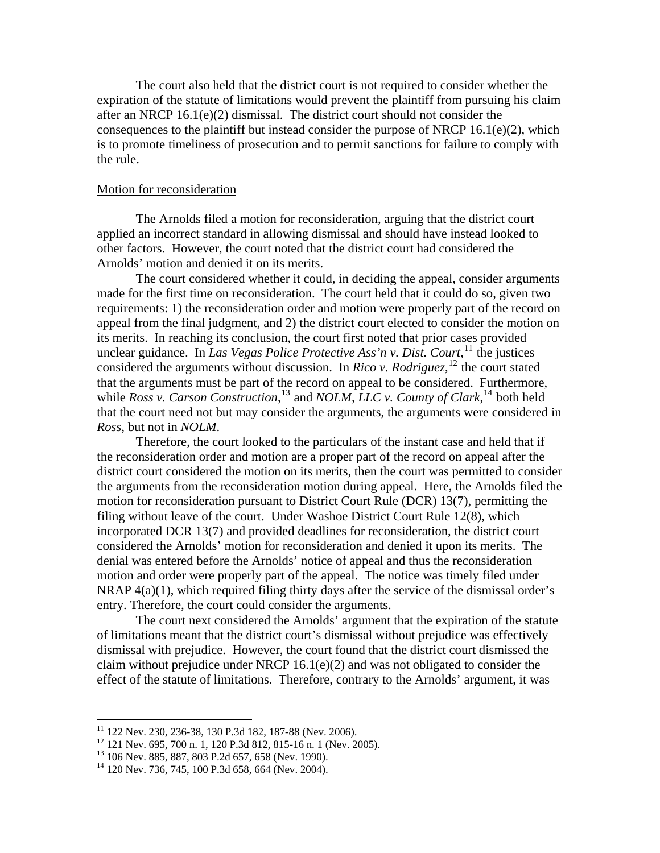The court also held that the district court is not required to consider whether the expiration of the statute of limitations would prevent the plaintiff from pursuing his claim after an NRCP 16.1(e)(2) dismissal. The district court should not consider the consequences to the plaintiff but instead consider the purpose of NRCP  $16.1(e)(2)$ , which is to promote timeliness of prosecution and to permit sanctions for failure to comply with the rule.

#### Motion for reconsideration

 The Arnolds filed a motion for reconsideration, arguing that the district court applied an incorrect standard in allowing dismissal and should have instead looked to other factors. However, the court noted that the district court had considered the Arnolds' motion and denied it on its merits.

 The court considered whether it could, in deciding the appeal, consider arguments made for the first time on reconsideration. The court held that it could do so, given two requirements: 1) the reconsideration order and motion were properly part of the record on appeal from the final judgment, and 2) the district court elected to consider the motion on its merits. In reaching its conclusion, the court first noted that prior cases provided unclear guidance. In *Las Vegas Police Protective Ass'n v. Dist. Court*,<sup>[11](#page-3-0)</sup> the justices considered the arguments without discussion. In *Rico v. Rodriguez*,<sup>[12](#page-3-1)</sup> the court stated that the arguments must be part of the record on appeal to be considered. Furthermore, while *Ross v. Carson Construction*,<sup>[13](#page-3-2)</sup> and *NOLM*, *LLC v. County of Clark*,<sup>[14](#page-3-3)</sup> both held that the court need not but may consider the arguments, the arguments were considered in *Ross*, but not in *NOLM*.

 Therefore, the court looked to the particulars of the instant case and held that if the reconsideration order and motion are a proper part of the record on appeal after the district court considered the motion on its merits, then the court was permitted to consider the arguments from the reconsideration motion during appeal. Here, the Arnolds filed the motion for reconsideration pursuant to District Court Rule (DCR) 13(7), permitting the filing without leave of the court. Under Washoe District Court Rule 12(8), which incorporated DCR 13(7) and provided deadlines for reconsideration, the district court considered the Arnolds' motion for reconsideration and denied it upon its merits. The denial was entered before the Arnolds' notice of appeal and thus the reconsideration motion and order were properly part of the appeal. The notice was timely filed under NRAP 4(a)(1), which required filing thirty days after the service of the dismissal order's entry. Therefore, the court could consider the arguments.

 The court next considered the Arnolds' argument that the expiration of the statute of limitations meant that the district court's dismissal without prejudice was effectively dismissal with prejudice. However, the court found that the district court dismissed the claim without prejudice under NRCP 16.1(e)(2) and was not obligated to consider the effect of the statute of limitations. Therefore, contrary to the Arnolds' argument, it was

<u>.</u>

<sup>&</sup>lt;sup>11</sup> 122 Nev. 230, 236-38, 130 P.3d 182, 187-88 (Nev. 2006).

<span id="page-3-1"></span><span id="page-3-0"></span><sup>&</sup>lt;sup>12</sup> 121 Nev. 695, 700 n. 1, 120 P.3d 812, 815-16 n. 1 (Nev. 2005).

<span id="page-3-2"></span><sup>&</sup>lt;sup>13</sup> 106 Nev. 885, 887, 803 P.2d 657, 658 (Nev. 1990).

<span id="page-3-3"></span><sup>14 120</sup> Nev. 736, 745, 100 P.3d 658, 664 (Nev. 2004).